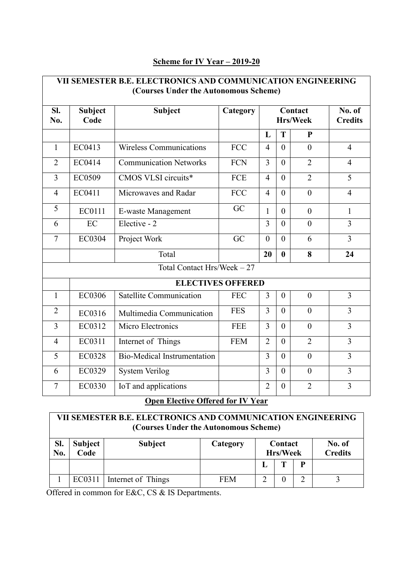| VII SEMESTER B.E. ELECTRONICS AND COMMUNICATION ENGINEERING<br>(Courses Under the Autonomous Scheme) |                          |                                    |            |                 |                          |                |                |
|------------------------------------------------------------------------------------------------------|--------------------------|------------------------------------|------------|-----------------|--------------------------|----------------|----------------|
| SI.<br>No.                                                                                           | <b>Subject</b><br>Code   | <b>Subject</b>                     | Category   | <b>Hrs/Week</b> | No. of<br><b>Credits</b> |                |                |
|                                                                                                      |                          |                                    |            | L               | T                        | P              |                |
| $\mathbf{1}$                                                                                         | EC0413                   | <b>Wireless Communications</b>     | <b>FCC</b> | $\overline{4}$  | $\Omega$                 | $\theta$       | $\overline{4}$ |
| $\overline{2}$                                                                                       | EC0414                   | <b>Communication Networks</b>      | <b>FCN</b> | 3               | $\theta$                 | $\overline{2}$ | $\overline{4}$ |
| 3                                                                                                    | EC0509                   | CMOS VLSI circuits*                | <b>FCE</b> | $\overline{4}$  | $\Omega$                 | $\overline{2}$ | 5              |
| $\overline{4}$                                                                                       | EC0411                   | Microwaves and Radar               | <b>FCC</b> | $\overline{4}$  | $\theta$                 | $\mathbf{0}$   | $\overline{4}$ |
| 5                                                                                                    | EC0111                   | E-waste Management                 | GC         | $\mathbf{1}$    | $\theta$                 | $\overline{0}$ | $\mathbf{1}$   |
| 6                                                                                                    | EC                       | Elective - 2                       |            | $\overline{3}$  | $\theta$                 | $\theta$       | 3              |
| $\tau$                                                                                               | EC0304                   | Project Work                       | GC         | $\overline{0}$  | $\theta$                 | 6              | $\overline{3}$ |
|                                                                                                      |                          | Total                              |            | 20              | $\bf{0}$                 | 8              | 24             |
| Total Contact Hrs/Week - 27                                                                          |                          |                                    |            |                 |                          |                |                |
|                                                                                                      | <b>ELECTIVES OFFERED</b> |                                    |            |                 |                          |                |                |
| $\mathbf{1}$                                                                                         | <b>EC0306</b>            | <b>Satellite Communication</b>     | <b>FEC</b> | 3               | $\mathbf{0}$             | $\mathbf{0}$   | 3              |
| $\overline{2}$                                                                                       | EC0316                   | Multimedia Communication           | <b>FES</b> | 3               | $\theta$                 | $\theta$       | 3              |
| 3                                                                                                    | EC0312                   | Micro Electronics                  | <b>FEE</b> | 3               | $\theta$                 | $\overline{0}$ | 3              |
| $\overline{4}$                                                                                       | EC0311                   | Internet of Things                 | <b>FEM</b> | $\overline{2}$  | $\theta$                 | $\overline{2}$ | $\overline{3}$ |
| 5                                                                                                    | <b>EC0328</b>            | <b>Bio-Medical Instrumentation</b> |            | $\overline{3}$  | $\Omega$                 | $\overline{0}$ | 3              |
| 6                                                                                                    | EC0329                   | <b>System Verilog</b>              |            | 3               | $\theta$                 | $\theta$       | $\overline{3}$ |
| 7                                                                                                    | EC0330                   | IoT and applications               |            | $\overline{2}$  | $\theta$                 | $\overline{2}$ | 3              |

# **Scheme for IV Year – 2019-20**

# **Open Elective Offered for IV Year**

| VII SEMESTER B.E. ELECTRONICS AND COMMUNICATION ENGINEERING<br>(Courses Under the Autonomous Scheme) |                        |                    |            |                            |  |   |                          |
|------------------------------------------------------------------------------------------------------|------------------------|--------------------|------------|----------------------------|--|---|--------------------------|
| SI.<br>No.                                                                                           | <b>Subject</b><br>Code | <b>Subject</b>     | Category   | Contact<br><b>Hrs/Week</b> |  |   | No. of<br><b>Credits</b> |
|                                                                                                      |                        |                    |            |                            |  | P |                          |
|                                                                                                      | EC0311                 | Internet of Things | <b>FEM</b> |                            |  |   |                          |

Offered in common for E&C, CS & IS Departments.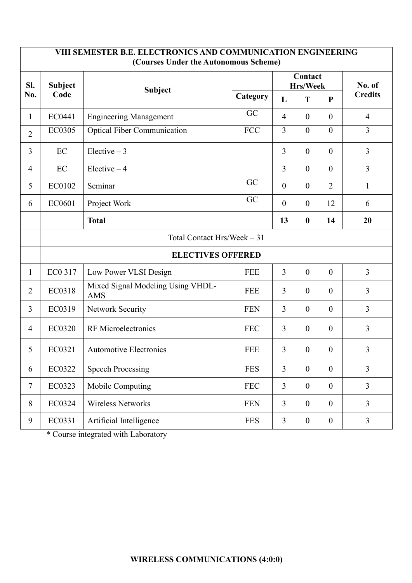| VIII SEMESTER B.E. ELECTRONICS AND COMMUNICATION ENGINEERING<br>(Courses Under the Autonomous Scheme) |                             |                                                 |            |                  |                     |                  |                |
|-------------------------------------------------------------------------------------------------------|-----------------------------|-------------------------------------------------|------------|------------------|---------------------|------------------|----------------|
| SI.                                                                                                   | <b>Subject</b><br>Code      | Subject                                         |            |                  | Contact<br>Hrs/Week | No. of           |                |
| No.                                                                                                   |                             |                                                 | Category   | L                | T                   | $\mathbf{P}$     | <b>Credits</b> |
| $\mathbf{1}$                                                                                          | EC0441                      | <b>Engineering Management</b>                   | GC         | $\overline{4}$   | $\boldsymbol{0}$    | $\mathbf{0}$     | $\overline{4}$ |
| $\overline{2}$                                                                                        | EC0305                      | <b>Optical Fiber Communication</b>              | <b>FCC</b> | $\overline{3}$   | $\mathbf{0}$        | $\overline{0}$   | $\overline{3}$ |
| 3                                                                                                     | EC                          | Elective $-3$                                   |            | 3                | $\overline{0}$      | $\mathbf{0}$     | $\overline{3}$ |
| $\overline{4}$                                                                                        | EC                          | Elective $-4$                                   |            | 3                | $\overline{0}$      | $\theta$         | $\overline{3}$ |
| 5                                                                                                     | EC0102                      | Seminar                                         | GC         | $\mathbf{0}$     | $\overline{0}$      | $\overline{2}$   | $\mathbf{1}$   |
| 6                                                                                                     | EC0601                      | Project Work                                    | GC         | $\boldsymbol{0}$ | $\boldsymbol{0}$    | 12               | 6              |
|                                                                                                       |                             | <b>Total</b>                                    |            | 13               | $\boldsymbol{0}$    | 14               | 20             |
|                                                                                                       | Total Contact Hrs/Week - 31 |                                                 |            |                  |                     |                  |                |
|                                                                                                       | <b>ELECTIVES OFFERED</b>    |                                                 |            |                  |                     |                  |                |
| $\mathbf{1}$                                                                                          | EC0 317                     | Low Power VLSI Design                           | <b>FEE</b> | $\overline{3}$   | $\boldsymbol{0}$    | $\boldsymbol{0}$ | 3              |
| $\overline{2}$                                                                                        | EC0318                      | Mixed Signal Modeling Using VHDL-<br><b>AMS</b> | <b>FEE</b> | 3                | $\overline{0}$      | $\theta$         | 3              |
| 3                                                                                                     | EC0319                      | <b>Network Security</b>                         | <b>FEN</b> | 3                | $\overline{0}$      | $\mathbf{0}$     | $\overline{3}$ |
| $\overline{4}$                                                                                        | <b>EC0320</b>               | <b>RF</b> Microelectronics                      | <b>FEC</b> | 3                | $\boldsymbol{0}$    | $\theta$         | $\overline{3}$ |
| 5                                                                                                     | EC0321                      | <b>Automotive Electronics</b>                   | <b>FEE</b> | 3                | $\boldsymbol{0}$    | $\mathbf{0}$     | 3              |
| 6                                                                                                     | EC0322                      | <b>Speech Processing</b>                        | <b>FES</b> | 3                | $\overline{0}$      | $\mathbf{0}$     | $\overline{3}$ |
| $\tau$                                                                                                | EC0323                      | Mobile Computing                                | <b>FEC</b> | $\overline{3}$   | $\overline{0}$      | $\mathbf{0}$     | $\overline{3}$ |
| 8                                                                                                     | EC0324                      | <b>Wireless Networks</b>                        | <b>FEN</b> | $\overline{3}$   | $\overline{0}$      | $\mathbf{0}$     | $\overline{3}$ |
| 9                                                                                                     | EC0331                      | Artificial Intelligence                         | <b>FES</b> | $\mathfrak{Z}$   | $\boldsymbol{0}$    | $\boldsymbol{0}$ | $\mathfrak{Z}$ |

\* Course integrated with Laboratory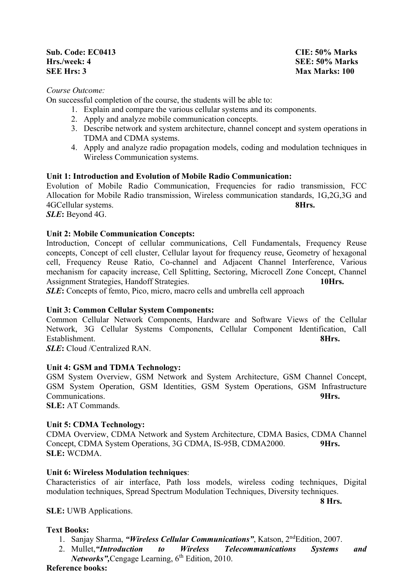### **Sub. Code: EC0413 CIE: 50% Marks Hrs./week: 4 SEE: 50% Marks SEE Hrs: 3** Max Marks: 100

## *Course Outcome:*

On successful completion of the course, the students will be able to:

- 1. Explain and compare the various cellular systems and its components.
- 2. Apply and analyze mobile communication concepts.
- 3. Describe network and system architecture, channel concept and system operations in TDMA and CDMA systems.
- 4. Apply and analyze radio propagation models, coding and modulation techniques in Wireless Communication systems.

# **Unit 1: Introduction and Evolution of Mobile Radio Communication:**

Evolution of Mobile Radio Communication, Frequencies for radio transmission, FCC Allocation for Mobile Radio transmission, Wireless communication standards, 1G,2G,3G and 4GCellular systems. **8Hrs.**

*SLE***:** Beyond 4G.

# **Unit 2: Mobile Communication Concepts:**

Introduction, Concept of cellular communications, Cell Fundamentals, Frequency Reuse concepts, Concept of cell cluster, Cellular layout for frequency reuse, Geometry of hexagonal cell, Frequency Reuse Ratio, Co-channel and Adjacent Channel Interference, Various mechanism for capacity increase, Cell Splitting, Sectoring, Microcell Zone Concept, Channel Assignment Strategies, Handoff Strategies. **10Hrs.**

**SLE**: Concepts of femto, Pico, micro, macro cells and umbrella cell approach

### **Unit 3: Common Cellular System Components:**

Common Cellular Network Components, Hardware and Software Views of the Cellular Network, 3G Cellular Systems Components, Cellular Component Identification, Call Establishment. **8Hrs.**

*SLE***:** Cloud /Centralized RAN.

### **Unit 4: GSM and TDMA Technology:**

GSM System Overview, GSM Network and System Architecture, GSM Channel Concept, GSM System Operation, GSM Identities, GSM System Operations, GSM Infrastructure Communications. **9Hrs.**

**SLE:** AT Commands.

### **Unit 5: CDMA Technology:**

CDMA Overview, CDMA Network and System Architecture, CDMA Basics, CDMA Channel Concept, CDMA System Operations, 3G CDMA, IS-95B, CDMA2000. **9Hrs. SLE:** WCDMA.

### **Unit 6: Wireless Modulation techniques**:

Characteristics of air interface, Path loss models, wireless coding techniques, Digital modulation techniques, Spread Spectrum Modulation Techniques, Diversity techniques.

**SLE:** UWB Applications.

### **Text Books:**

- 1. Sanjay Sharma, *"Wireless Cellular Communications"*, Katson, 2ndEdition, 2007.
- 2. Mullet,*"Introduction to Wireless Telecommunications Systems and Networks"*, Cengage Learning, 6<sup>th</sup> Edition, 2010.

#### **Reference books:**

**8 Hrs.**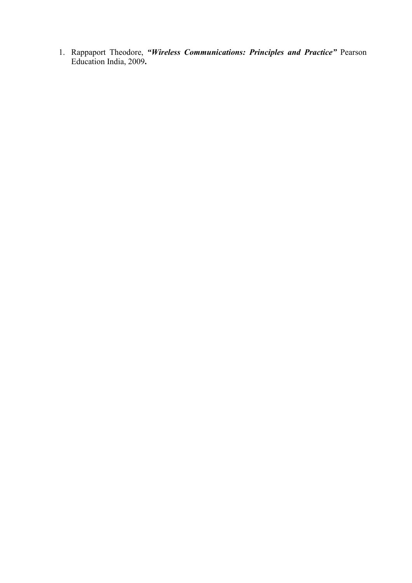1. Rappaport Theodore, *"Wireless Communications: Principles and Practice"* Pearson Education India, 2009**.**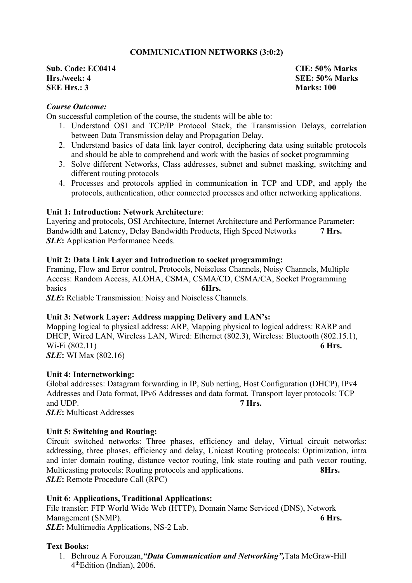# **COMMUNICATION NETWORKS (3:0:2)**

# **Sub. Code: EC0414 CIE: 50% Marks Hrs./week: 4 SEE: 50% Marks SEE Hrs.: 3 Marks: 100**

### *Course Outcome:*

On successful completion of the course, the students will be able to:

- 1. Understand OSI and TCP/IP Protocol Stack, the Transmission Delays, correlation between Data Transmission delay and Propagation Delay.
- 2. Understand basics of data link layer control, deciphering data using suitable protocols and should be able to comprehend and work with the basics of socket programming
- 3. Solve different Networks, Class addresses, subnet and subnet masking, switching and different routing protocols
- 4. Processes and protocols applied in communication in TCP and UDP, and apply the protocols, authentication, other connected processes and other networking applications.

#### **Unit 1: Introduction: Network Architecture**:

Layering and protocols, OSI Architecture, Internet Architecture and Performance Parameter: Bandwidth and Latency, Delay Bandwidth Products, High Speed Networks **7 Hrs. SLE:** Application Performance Needs.

#### **Unit 2: Data Link Layer and Introduction to socket programming:**

Framing, Flow and Error control, Protocols, Noiseless Channels, Noisy Channels, Multiple Access: Random Access, ALOHA, CSMA, CSMA/CD, CSMA/CA, Socket Programming basics **6Hrs. SLE**: Reliable Transmission: Noisy and Noiseless Channels.

### **Unit 3: Network Layer: Address mapping Delivery and LAN's:**

Mapping logical to physical address: ARP, Mapping physical to logical address: RARP and DHCP, Wired LAN, Wireless LAN, Wired: Ethernet (802.3), Wireless: Bluetooth (802.15.1),<br>Wi-Fi (802.11) 6 Hrs. Wi-Fi (802.11) *SLE***:** WI Max (802.16)

#### **Unit 4: Internetworking:**

Global addresses: Datagram forwarding in IP, Sub netting, Host Configuration (DHCP), IPv4 Addresses and Data format, IPv6 Addresses and data format, Transport layer protocols: TCP and UDP. **7 Hrs. 7** *SLE***:** Multicast Addresses

### **Unit 5: Switching and Routing:**

Circuit switched networks: Three phases, efficiency and delay, Virtual circuit networks: addressing, three phases, efficiency and delay, Unicast Routing protocols: Optimization, intra and inter domain routing, distance vector routing, link state routing and path vector routing, Multicasting protocols: Routing protocols and applications. **8Hrs.** *SLE***:** Remote Procedure Call (RPC)

#### **Unit 6: Applications, Traditional Applications:**

File transfer: FTP World Wide Web (HTTP), Domain Name Serviced (DNS), Network Management (SNMP). **6 Hrs.** *SLE***:** Multimedia Applications, NS-2 Lab.

### **Text Books:**

1. Behrouz A Forouzan,*"Data Communication and Networking",*Tata McGraw-Hill 4thEdition (Indian), 2006.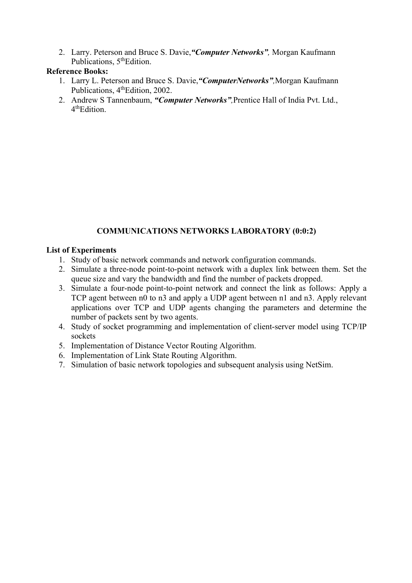2. Larry. Peterson and Bruce S. Davie,*"Computer Networks",* Morgan Kaufmann Publications, 5<sup>th</sup>Edition.

# **Reference Books:**

- 1. Larry L. Peterson and Bruce S. Davie,*"ComputerNetworks",*Morgan Kaufmann Publications, 4<sup>th</sup>Edition, 2002.
- 2. Andrew S Tannenbaum, *"Computer Networks",*Prentice Hall of India Pvt. Ltd., 4thEdition.

# **COMMUNICATIONS NETWORKS LABORATORY (0:0:2)**

# **List of Experiments**

- 1. Study of basic network commands and network configuration commands.
- 2. Simulate a three-node point-to-point network with a duplex link between them. Set the queue size and vary the bandwidth and find the number of packets dropped.
- 3. Simulate a four-node point-to-point network and connect the link as follows: Apply a TCP agent between n0 to n3 and apply a UDP agent between n1 and n3. Apply relevant applications over TCP and UDP agents changing the parameters and determine the number of packets sent by two agents.
- 4. Study of socket programming and implementation of client-server model using TCP/IP sockets
- 5. Implementation of Distance Vector Routing Algorithm.
- 6. Implementation of Link State Routing Algorithm.
- 7. Simulation of basic network topologies and subsequent analysis using NetSim.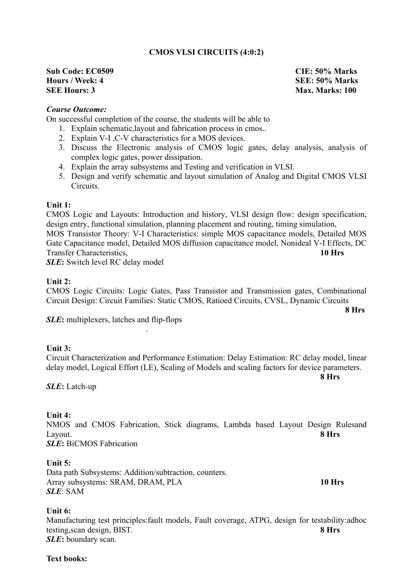# **CMOS VLSI CIRCUITS (4:0:2)**

## **Sub Code: EC0509 CIE: 50% Marks Hours / Week: 4 SEE: 50% Marks SEE Hours: 3** Max. Marks: 100

# *Course Outcome:*

On successful completion of the course, the students will be able to

1. Explain schematic,layout and fabrication process in cmos..

- 2. Explain V-I ,C-V characteristics for a MOS devices.
- 3. Discuss the Electronic analysis of CMOS logic gates, delay analysis, analysis of complex logic gates, power dissipation.
- 4. Explain the array subsystems and Testing and verification in VLSI.
- 5. Design and verify schematic and layout simulation of Analog and Digital CMOS VLSI Circuits.

#### **Unit 1:**

CMOS Logic and Layouts: Introduction and history, VLSI design flow: design specification, design entry, functional simulation, planning placement and routing, timing simulation, MOS Transistor Theory: V-I Characteristics: simple MOS capacitance models, Detailed MOS Gate Capacitance model, Detailed MOS diffusion capacitance model, Nonideal V-I Effects, DC Transfer Characteristics, **10 Hrs**

**SLE**: Switch level RC delay model

#### **Unit 2:**

CMOS Logic Circuits: Logic Gates, Pass Transistor and Transmission gates, Combinational Circuit Design: Circuit Families: Static CMOS, Ratioed Circuits, CVSL, Dynamic Circuits

**8 Hrs**

*SLE***:** multiplexers, latches and flip-flops

#### **Unit 3:**

Circuit Characterization and Performance Estimation: Delay Estimation: RC delay model, linear delay model, Logical Effort (LE), Scaling of Models and scaling factors for device parameters.

*SLE***:** Latch-up

#### **Unit 4:**

NMOS and CMOS Fabrication, Stick diagrams, Lambda based Layout Design Rulesand Layout. **8 Hrs**

*SLE***:** BiCMOS Fabrication

## **Unit 5:**

Data path Subsystems: Addition/subtraction, counters. Array subsystems: SRAM, DRAM, PLA **10 Hrs** *SLE*: SAM

.

**8 Hrs**

### **Unit 6:**

Manufacturing test principles:fault models, Fault coverage, ATPG, design for testability:adhoc testing,scan design, BIST. **8 Hrs** *SLE***:** boundary scan.

### **Text books:**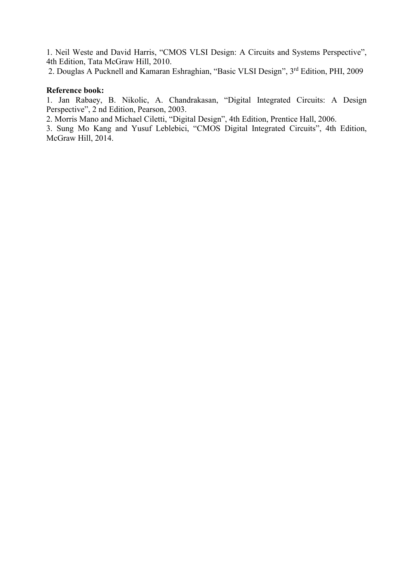1. Neil Weste and David Harris, "CMOS VLSI Design: A Circuits and Systems Perspective", 4th Edition, Tata McGraw Hill, 2010.

2. Douglas A Pucknell and Kamaran Eshraghian, "Basic VLSI Design", 3rd Edition, PHI, 2009

## **Reference book:**

1. Jan Rabaey, B. Nikolic, A. Chandrakasan, "Digital Integrated Circuits: A Design Perspective", 2 nd Edition, Pearson, 2003.

2. Morris Mano and Michael Ciletti, "Digital Design", 4th Edition, Prentice Hall, 2006.

3. Sung Mo Kang and Yusuf Leblebici, "CMOS Digital Integrated Circuits", 4th Edition, McGraw Hill, 2014.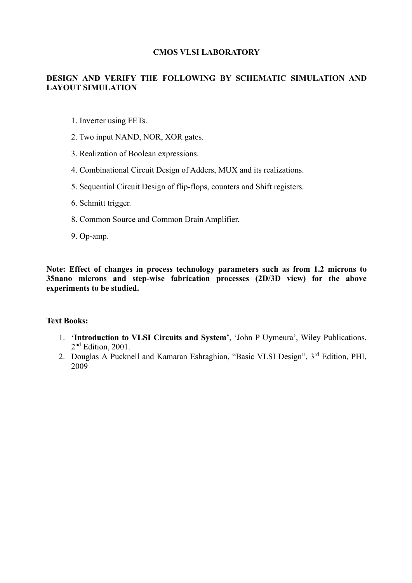## **CMOS VLSI LABORATORY**

# **DESIGN AND VERIFY THE FOLLOWING BY SCHEMATIC SIMULATION AND LAYOUT SIMULATION**

- 1. Inverter using FETs.
- 2. Two input NAND, NOR, XOR gates.
- 3. Realization of Boolean expressions.
- 4. Combinational Circuit Design of Adders, MUX and its realizations.
- 5. Sequential Circuit Design of flip-flops, counters and Shift registers.
- 6. Schmitt trigger.
- 8. Common Source and Common Drain Amplifier.
- 9. Op-amp.

**Note: Effect of changes in process technology parameters such as from 1.2 microns to 35nano microns and step-wise fabrication processes (2D/3D view) for the above experiments to be studied.**

# **Text Books:**

- 1. **'Introduction to VLSI Circuits and System'**, 'John P Uymeura', Wiley Publications, 2<sup>nd</sup> Edition, 2001.
- 2. Douglas A Pucknell and Kamaran Eshraghian, "Basic VLSI Design", 3rd Edition, PHI, 2009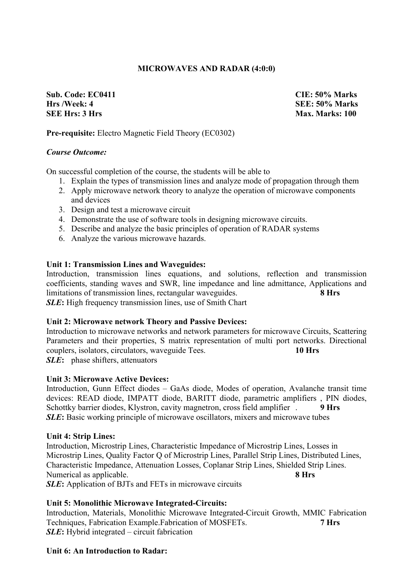# **MICROWAVES AND RADAR (4:0:0)**

**Sub. Code: EC0411 CIE: 50% Marks Hrs /Week: 4 SEE: 50% Marks SEE Hrs: 3 Hrs Max. Marks: 100**

# **Pre-requisite:** Electro Magnetic Field Theory (EC0302)

#### *Course Outcome:*

On successful completion of the course, the students will be able to

- 1. Explain the types of transmission lines and analyze mode of propagation through them
- 2. Apply microwave network theory to analyze the operation of microwave components and devices
- 3. Design and test a microwave circuit
- 4. Demonstrate the use of software tools in designing microwave circuits.
- 5. Describe and analyze the basic principles of operation of RADAR systems
- 6. Analyze the various microwave hazards.

#### **Unit 1: Transmission Lines and Waveguides:**

Introduction, transmission lines equations, and solutions, reflection and transmission coefficients, standing waves and SWR, line impedance and line admittance, Applications and limitations of transmission lines, rectangular waveguides. **8 Hrs** *SLE***:** High frequency transmission lines, use of Smith Chart

#### **Unit 2: Microwave network Theory and Passive Devices:**

Introduction to microwave networks and network parameters for microwave Circuits, Scattering Parameters and their properties, S matrix representation of multi port networks. Directional couplers, isolators, circulators, waveguide Tees. **10 Hrs** *SLE***:** phase shifters, attenuators

**Unit 3: Microwave Active Devices:**

Introduction, Gunn Effect diodes – GaAs diode, Modes of operation, Avalanche transit time devices: READ diode, IMPATT diode, BARITT diode, parametric amplifiers , PIN diodes, Schottky barrier diodes, Klystron, cavity magnetron, cross field amplifier . **9 Hrs** *SLE***:** Basic working principle of microwave oscillators, mixers and microwave tubes

#### **Unit 4: Strip Lines:**

Introduction, Microstrip Lines, Characteristic Impedance of Microstrip Lines, Losses in Microstrip Lines, Quality Factor Q of Microstrip Lines, Parallel Strip Lines, Distributed Lines, Characteristic Impedance, Attenuation Losses, Coplanar Strip Lines, Shielded Strip Lines. Numerical as applicable. **8 Hrs**

*SLE***:** Application of BJTs and FETs in microwave circuits

### **Unit 5: Monolithic Microwave Integrated-Circuits:**

Introduction, Materials, Monolithic Microwave Integrated-Circuit Growth, MMIC Fabrication Techniques, Fabrication Example.Fabrication of MOSFETs. **7 Hrs** *SLE***:** Hybrid integrated – circuit fabrication

### **Unit 6: An Introduction to Radar:**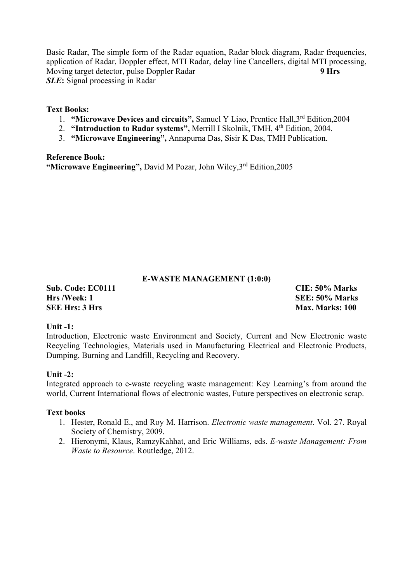Basic Radar, The simple form of the Radar equation, Radar block diagram, Radar frequencies, application of Radar, Doppler effect, MTI Radar, delay line Cancellers, digital MTI processing, Moving target detector, pulse Doppler Radar **9 Hrs** *SLE***:** Signal processing in Radar

# **Text Books:**

- 1. **"Microwave Devices and circuits",** Samuel Y Liao, Prentice Hall,3rd Edition,2004
- 2. **"Introduction to Radar systems", Merrill I Skolnik, TMH, 4<sup>th</sup> Edition, 2004.**
- 3. **"Microwave Engineering",** Annapurna Das, Sisir K Das, TMH Publication.

**Reference Book: "Microwave Engineering",** David M Pozar, John Wiley,3rd Edition,2005

# **E-WASTE MANAGEMENT (1:0:0)**

**Sub. Code: EC0111 CIE: 50% Marks Hrs /Week: 1 SEE: 50% Marks SEE Hrs: 3 Hrs Max. Marks: 100**

### **Unit -1:**

Introduction, Electronic waste Environment and Society, Current and New Electronic waste Recycling Technologies, Materials used in Manufacturing Electrical and Electronic Products, Dumping, Burning and Landfill, Recycling and Recovery.

### **Unit -2:**

Integrated approach to e-waste recycling waste management: Key Learning's from around the world, Current International flows of electronic wastes, Future perspectives on electronic scrap.

### **Text books**

- 1. Hester, Ronald E., and Roy M. Harrison. *Electronic waste management*. Vol. 27. Royal Society of Chemistry, 2009.
- 2. Hieronymi, Klaus, RamzyKahhat, and Eric Williams, eds. *E-waste Management: From Waste to Resource*. Routledge, 2012.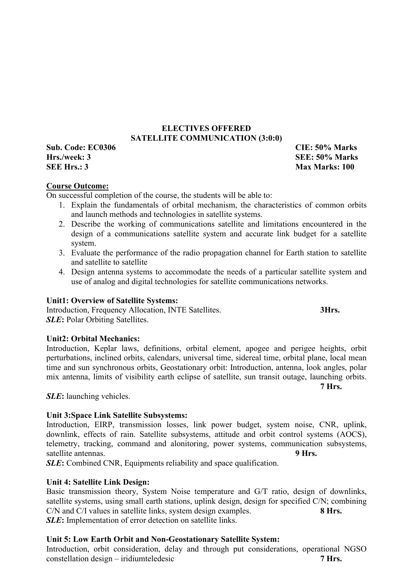# **ELECTIVES OFFERED SATELLITE COMMUNICATION (3:0:0)**

**Sub. Code: EC0306 CIE: 50% Marks Hrs./week: 3 SEE: 50% Marks SEE Hrs.: 3** Max Marks: 100

# **Course Outcome:**

On successful completion of the course, the students will be able to:

- 1. Explain the fundamentals of orbital mechanism, the characteristics of common orbits and launch methods and technologies in satellite systems.
- 2. Describe the working of communications satellite and limitations encountered in the design of a communications satellite system and accurate link budget for a satellite system.
- 3. Evaluate the performance of the radio propagation channel for Earth station to satellite and satellite to satellite
- 4. Design antenna systems to accommodate the needs of a particular satellite system and use of analog and digital technologies for satellite communications networks.

# **Unit1: Overview of Satellite Systems:**

Introduction, Frequency Allocation, INTE Satellites. **3Hrs.** *SLE***:** Polar Orbiting Satellites.

#### **Unit2: Orbital Mechanics:**

Introduction, Keplar laws, definitions, orbital element, apogee and perigee heights, orbit perturbations, inclined orbits, calendars, universal time, sidereal time, orbital plane, local mean time and sun synchronous orbits, Geostationary orbit: Introduction, antenna, look angles, polar mix antenna, limits of visibility earth eclipse of satellite, sun transit outage, launching orbits. **7 Hrs.**

*SLE***:** launching vehicles.

### **Unit 3:Space Link Satellite Subsystems:**

Introduction, EIRP, transmission losses, link power budget, system noise, CNR, uplink, downlink, effects of rain. Satellite subsystems, attitude and orbit control systems (AOCS), telemetry, tracking, command and alonitoring, power systems, communication subsystems, satellite antennas. **9 Hrs. 9 Hrs.** 

*SLE***:** Combined CNR, Equipments reliability and space qualification.

### **Unit 4: Satellite Link Design:**

Basic transmission theory, System Noise temperature and G/T ratio, design of downlinks, satellite systems, using small earth stations, uplink design, design for specified C/N; combining C/N and C/I values in satellite links, system design examples. **8 Hrs.** *SLE***:** Implementation of error detection on satellite links.

### **Unit 5: Low Earth Orbit and Non-Geostationary Satellite System:**

Introduction, orbit consideration, delay and through put considerations, operational NGSO constellation design – iridiumteledesic **7 Hrs.**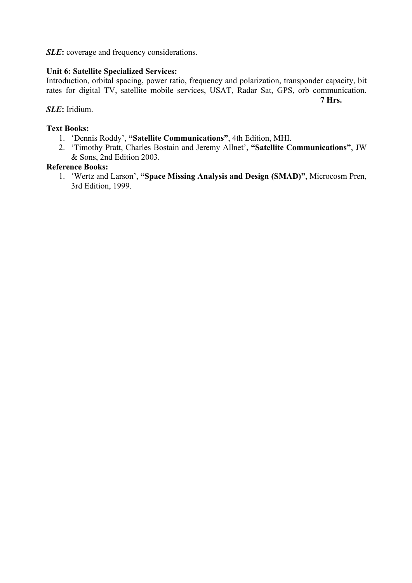*SLE***:** coverage and frequency considerations.

# **Unit 6: Satellite Specialized Services:**

Introduction, orbital spacing, power ratio, frequency and polarization, transponder capacity, bit rates for digital TV, satellite mobile services, USAT, Radar Sat, GPS, orb communication.

**7 Hrs.**

# *SLE***:** Iridium.

## **Text Books:**

- 1. 'Dennis Roddy', **"Satellite Communications"**, 4th Edition, MHI.
- 2. 'Timothy Pratt, Charles Bostain and Jeremy Allnet', **"Satellite Communications"**, JW & Sons, 2nd Edition 2003.

# **Reference Books:**

1. 'Wertz and Larson', **"Space Missing Analysis and Design (SMAD)"**, Microcosm Pren, 3rd Edition, 1999.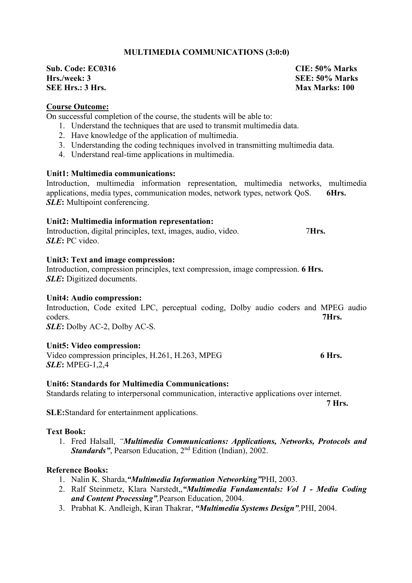# **MULTIMEDIA COMMUNICATIONS (3:0:0)**

**Sub. Code: EC0316 CIE: 50% Marks Hrs./week: 3 SEE: 50% Marks SEE Hrs.: 3 Hrs.** 

### **Course Outcome:**

On successful completion of the course, the students will be able to:

- 1. Understand the techniques that are used to transmit multimedia data.
- 2. Have knowledge of the application of multimedia.
- 3. Understanding the coding techniques involved in transmitting multimedia data.
- 4. Understand real-time applications in multimedia.

### **Unit1: Multimedia communications:**

Introduction, multimedia information representation, multimedia networks, multimedia applications, media types, communication modes, network types, network QoS. **6Hrs.** *SLE***:** Multipoint conferencing.

#### **Unit2: Multimedia information representation:**

Introduction, digital principles, text, images, audio, video. 7**Hrs.** *SLE***:** PC video.

#### **Unit3: Text and image compression:**

Introduction, compression principles, text compression, image compression. **6 Hrs.** *SLE***:** Digitized documents.

#### **Unit4: Audio compression:**

Introduction, Code exited LPC, perceptual coding, Dolby audio coders and MPEG audio coders. **7Hrs.**

*SLE***:** Dolby AC-2, Dolby AC-S.

### **Unit5: Video compression:**

Video compression principles, H.261, H.263, MPEG 6 Hrs. *SLE***:** MPEG-1,2,4

### **Unit6: Standards for Multimedia Communications:**

Standards relating to interpersonal communication, interactive applications over internet.

**SLE:**Standard for entertainment applications.

### **Text Book:**

1. Fred Halsall, *"Multimedia Communications: Applications, Networks, Protocols and Standards"*, Pearson Education, 2<sup>nd</sup> Edition (Indian), 2002.

# **Reference Books:**

- 1. Nalin K. Sharda,*"Multimedia Information Networking"*PHI, 2003.
- 2. Ralf Steinmetz, Klara Narstedt,,*"Multimedia Fundamentals: Vol 1 - Media Coding and Content Processing",*Pearson Education, 2004.
- 3. Prabhat K. Andleigh, Kiran Thakrar, *"Multimedia Systems Design",*PHI, 2004.

 **7 Hrs.**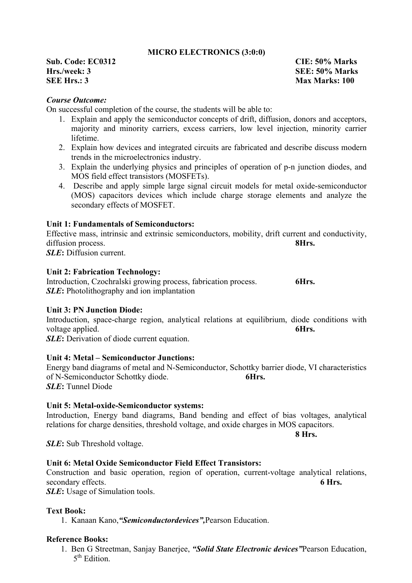# **MICRO ELECTRONICS (3:0:0)**

**Sub. Code: EC0312 CIE: 50% Marks Hrs./week: 3 SEE: 50% Marks SEE Hrs.: 3** Max Marks: 100

### *Course Outcome:*

On successful completion of the course, the students will be able to:

- 1. Explain and apply the semiconductor concepts of drift, diffusion, donors and acceptors, majority and minority carriers, excess carriers, low level injection, minority carrier lifetime.
- 2. Explain how devices and integrated circuits are fabricated and describe discuss modern trends in the microelectronics industry.
- 3. Explain the underlying physics and principles of operation of p-n junction diodes, and MOS field effect transistors (MOSFETs).
- 4. Describe and apply simple large signal circuit models for metal oxide-semiconductor (MOS) capacitors devices which include charge storage elements and analyze the secondary effects of MOSFET.

### **Unit 1: Fundamentals of Semiconductors:**

Effective mass, intrinsic and extrinsic semiconductors, mobility, drift current and conductivity, diffusion process. **8Hrs. 8Hrs.** *SLE***:** Diffusion current.

#### **Unit 2: Fabrication Technology:**

Introduction, Czochralski growing process, fabrication process. **6Hrs.** *SLE***:** Photolithography and ion implantation

#### **Unit 3: PN Junction Diode:**

Introduction, space-charge region, analytical relations at equilibrium, diode conditions with voltage applied. **6Hrs. 6Hrs.** 

**SLE**: Derivation of diode current equation.

#### **Unit 4: Metal – Semiconductor Junctions:**

Energy band diagrams of metal and N-Semiconductor, Schottky barrier diode, VI characteristics of N-Semiconductor Schottky diode. **6Hrs.** *SLE***:** Tunnel Diode

**Unit 5: Metal-oxide-Semiconductor systems:** 

Introduction, Energy band diagrams, Band bending and effect of bias voltages, analytical relations for charge densities, threshold voltage, and oxide charges in MOS capacitors.

*SLE***:** Sub Threshold voltage.

#### **Unit 6: Metal Oxide Semiconductor Field Effect Transistors:**

Construction and basic operation, region of operation, current-voltage analytical relations, secondary effects. **6 Hrs. 6 Hrs. 6 Hrs.** 

*SLE***:** Usage of Simulation tools.

#### **Text Book:**

1. Kanaan Kano,*"Semiconductordevices",*Pearson Education.

# **Reference Books:**

1. Ben G Streetman, Sanjay Banerjee, *"Solid State Electronic devices"*Pearson Education, 5<sup>th</sup> Edition

**8 Hrs.**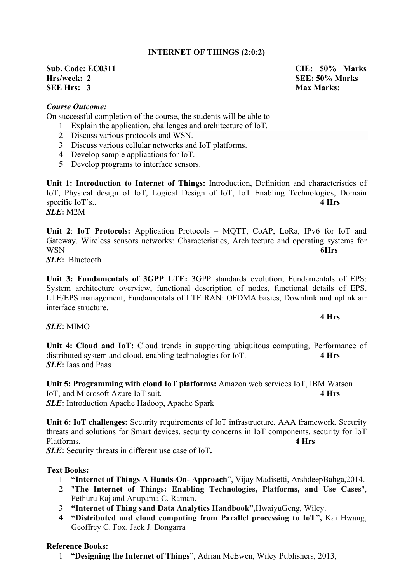# **INTERNET OF THINGS (2:0:2)**

# **Sub. Code: EC0311 CIE: 50% Marks Hrs/week: 2** SEE: 50% Marks **SEE Hrs:** 3 **Max Marks:**

## *Course Outcome:*

On successful completion of the course, the students will be able to

- 1 Explain the application, challenges and architecture of IoT.
- 2 Discuss various protocols and WSN.
- 3 Discuss various cellular networks and IoT platforms.
- 4 Develop sample applications for IoT.
- 5 Develop programs to interface sensors.

**Unit 1: Introduction to Internet of Things:** Introduction, Definition and characteristics of IoT, Physical design of IoT, Logical Design of IoT, IoT Enabling Technologies, Domain specific IoT's.. **4 Hrs** *SLE***:** M2M

**Unit 2**: **IoT Protocols:** Application Protocols – MQTT, CoAP, LoRa, IPv6 for IoT and Gateway, Wireless sensors networks: Characteristics, Architecture and operating systems for WSN **6Hrs**

*SLE***:** Bluetooth

**Unit 3: Fundamentals of 3GPP LTE:** 3GPP standards evolution, Fundamentals of EPS: System architecture overview, functional description of nodes, functional details of EPS, LTE/EPS management, Fundamentals of LTE RAN: OFDMA basics, Downlink and uplink air interface structure.

*SLE***:** MIMO

**Unit 4: Cloud and IoT:** Cloud trends in supporting ubiquitous computing, Performance of distributed system and cloud, enabling technologies for IoT. **4 Hrs** *SLE***:** Iaas and Paas

**Unit 5: Programming with cloud IoT platforms:** Amazon web services IoT, IBM Watson IoT, and Microsoft Azure IoT suit. **4 Hrs** *SLE***:** Introduction Apache Hadoop, Apache Spark

**Unit 6: IoT challenges:** Security requirements of IoT infrastructure, AAA framework, Security threats and solutions for Smart devices, security concerns in IoT components, security for IoT Platforms. **4 Hrs**

*SLE***:** Security threats in different use case of IoT**.**

# **Text Books:**

- 1 **"Internet of Things A Hands-On- Approach**", Vijay Madisetti, ArshdeepBahga,2014.
- 2 "**The Internet of Things: Enabling Technologies, Platforms, and Use Cases**", Pethuru Raj and Anupama C. Raman.
- 3 **"Internet of Thing sand Data Analytics Handbook",**HwaiyuGeng, Wiley.
- 4 **"Distributed and cloud computing from Parallel processing to IoT",** Kai Hwang, Geoffrey C. Fox. Jack J. Dongarra

# **Reference Books:**

1 "**Designing the Internet of Things**", Adrian McEwen, Wiley Publishers, 2013,

### **4 Hrs**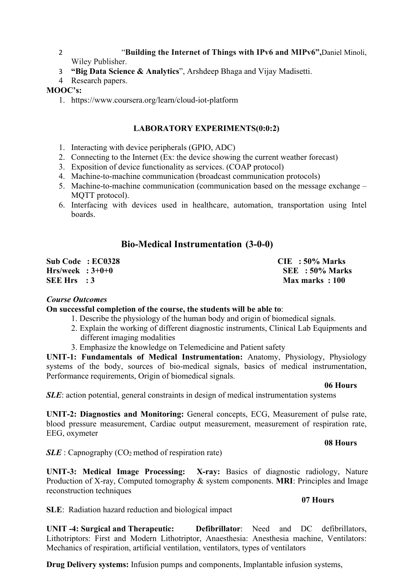## 2 "**Building the Internet of Things with IPv6 and MIPv6",**Daniel Minoli, Wiley Publisher.

# 3 **"Big Data Science & Analytics**", Arshdeep Bhaga and Vijay Madisetti.

# 4 Research papers.

# **MOOC's:**

1. https://www.coursera.org/learn/cloud-iot-platform

# **LABORATORY EXPERIMENTS(0:0:2)**

- 1. Interacting with device peripherals (GPIO, ADC)
- 2. Connecting to the Internet (Ex: the device showing the current weather forecast)
- 3. Exposition of device functionality as services. (COAP protocol)
- 4. Machine-to-machine communication (broadcast communication protocols)
- 5. Machine-to-machine communication (communication based on the message exchange MQTT protocol).
- 6. Interfacing with devices used in healthcare, automation, transportation using Intel boards.

# **Bio-Medical Instrumentation (3-0-0)**

|                    | Sub Code :EC0328 | $CIE$ : 50% Marks |
|--------------------|------------------|-------------------|
| $Hrs/week : 3+0+0$ |                  | SEE : 50% Marks   |
| SEE Hrs :3         |                  | Max marks: 100    |

# *Course Outcomes*

# **On successful completion of the course, the students will be able to**:

- 1. Describe the physiology of the human body and origin of biomedical signals.
- 2. Explain the working of different diagnostic instruments, Clinical Lab Equipments and different imaging modalities
- 3. Emphasize the knowledge on Telemedicine and Patient safety

**UNIT-1: Fundamentals of Medical Instrumentation:** Anatomy, Physiology, Physiology systems of the body, sources of bio-medical signals, basics of medical instrumentation, Performance requirements, Origin of biomedical signals.

# **06 Hours**

*SLE*: action potential, general constraints in design of medical instrumentation systems

**UNIT-2: Diagnostics and Monitoring:** General concepts, ECG, Measurement of pulse rate, blood pressure measurement, Cardiac output measurement, measurement of respiration rate, EEG, oxymeter

# **08 Hours**

*SLE* : Capnography (CO<sub>2</sub> method of respiration rate)

**UNIT-3: Medical Image Processing: X-ray:** Basics of diagnostic radiology, Nature Production of X-ray, Computed tomography & system components. **MRI**: Principles and Image reconstruction techniques

# **07 Hours**

**SLE**: Radiation hazard reduction and biological impact

**UNIT -4: Surgical and Therapeutic: Defibrillator**: Need and DC defibrillators, Lithotriptors: First and Modern Lithotriptor, Anaesthesia: Anesthesia machine, Ventilators: Mechanics of respiration, artificial ventilation, ventilators, types of ventilators

**Drug Delivery systems:** Infusion pumps and components, Implantable infusion systems,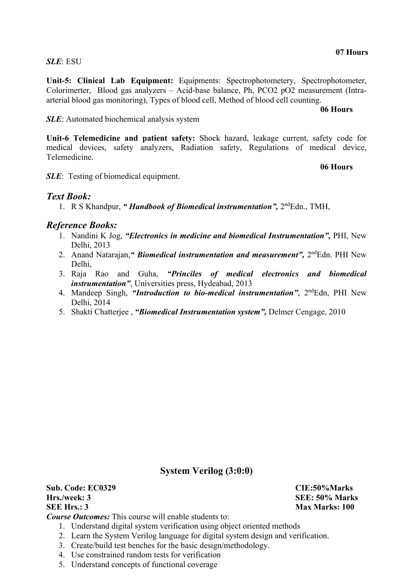**Unit-5: Clinical Lab Equipment:** Equipments: Spectrophotometery, Spectrophotometer, Colorimerter, Blood gas analyzers – Acid-base balance, Ph, PCO2 pO2 measurement (Intraarterial blood gas monitoring), Types of blood cell, Method of blood cell counting.

### **06 Hours**

**SLE**: Automated biochemical analysis system

**Unit-6 Telemedicine and patient safety:** Shock hazard, leakage current, safety code for medical devices, safety analyzers, Radiation safety, Regulations of medical device, Telemedicine.

**06 Hours**

*SLE*: Testing of biomedical equipment.

# *Text Book:*

1. R S Khandpur, *" Handbook of Biomedical instrumentation",* 2ndEdn., TMH,

# *Reference Books:*

- 1. Nandini K Jog, *"Electronics in medicine and biomedical Instrumentation",* PHI, New Delhi, 2013
- 2. Anand Natarajan,*" Biomedical instrumentation and measurement",* 2ndEdn. PHI New Delhi,
- 3. Raja Rao and Guha, *"Princiles of medical electronics and biomedical instrumentation"*, Universities press, Hydeabad, 2013
- 4. Mandeep Singh, "*Introduction to bio-medical instrumentation*", 2<sup>nd</sup>Edn, PHI New Delhi, 2014
- 5. Shakti Chatterjee , *"Biomedical Instrumentation system",* Delmer Cengage, 2010

# **System Verilog (3:0:0)**

**Sub. Code: EC0329 CIE:50%Marks Hrs./week: 3 SEE: 50% Marks SEE Hrs.: 3** Max Marks: 100

*Course Outcomes:* This course will enable students to:

- 1. Understand digital system verification using object oriented methods
- 2. Learn the System Verilog language for digital system design and verification.
- 3. Create/build test benches for the basic design/methodology.
- 4. Use constrained random tests for verification
- 5. Understand concepts of functional coverage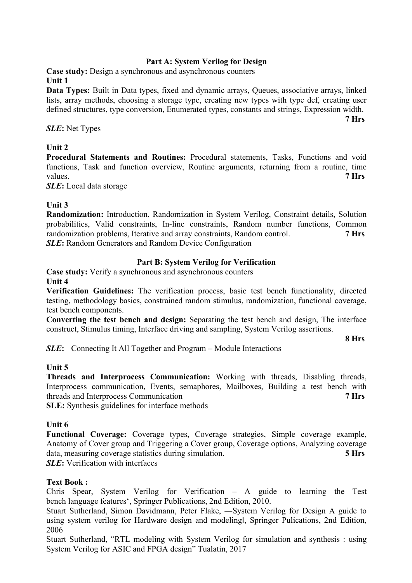# **Part A: System Verilog for Design**

**Case study:** Design a synchronous and asynchronous counters **Unit 1**

**Data Types:** Built in Data types, fixed and dynamic arrays, Queues, associative arrays, linked lists, array methods, choosing a storage type, creating new types with type def, creating user defined structures, type conversion, Enumerated types, constants and strings, Expression width.

*SLE***:** Net Types

# **Unit 2**

**Procedural Statements and Routines:** Procedural statements, Tasks, Functions and void functions, Task and function overview, Routine arguments, returning from a routine, time values. **7 Hrs**

*SLE***:** Local data storage

# **Unit 3**

**Randomization:** Introduction, Randomization in System Verilog, Constraint details, Solution probabilities, Valid constraints, In-line constraints, Random number functions, Common randomization problems, Iterative and array constraints, Random control. **7 Hrs** *SLE***:** Random Generators and Random Device Configuration

# **Part B: System Verilog for Verification**

**Case study:** Verify a synchronous and asynchronous counters **Unit 4**

**Verification Guidelines:** The verification process, basic test bench functionality, directed testing, methodology basics, constrained random stimulus, randomization, functional coverage, test bench components.

**Converting the test bench and design:** Separating the test bench and design, The interface construct, Stimulus timing, Interface driving and sampling, System Verilog assertions.

**8 Hrs**

**7 Hrs**

*SLE***:** Connecting It All Together and Program – Module Interactions

### **Unit 5**

**Threads and Interprocess Communication:** Working with threads, Disabling threads, Interprocess communication, Events, semaphores, Mailboxes, Building a test bench with threads and Interprocess Communication **7 Hrs**

**SLE:** Synthesis guidelines for interface methods

# **Unit 6**

**Functional Coverage:** Coverage types, Coverage strategies, Simple coverage example, Anatomy of Cover group and Triggering a Cover group, Coverage options, Analyzing coverage data, measuring coverage statistics during simulation. **5 Hrs** *SLE***:** Verification with interfaces

# **Text Book :**

Chris Spear, System Verilog for Verification – A guide to learning the Test bench language features', Springer Publications, 2nd Edition, 2010.

Stuart Sutherland, Simon Davidmann, Peter Flake, ―System Verilog for Design A guide to using system verilog for Hardware design and modeling‖, Springer Pulications, 2nd Edition, 2006

Stuart Sutherland, "RTL modeling with System Verilog for simulation and synthesis : using System Verilog for ASIC and FPGA design" Tualatin, 2017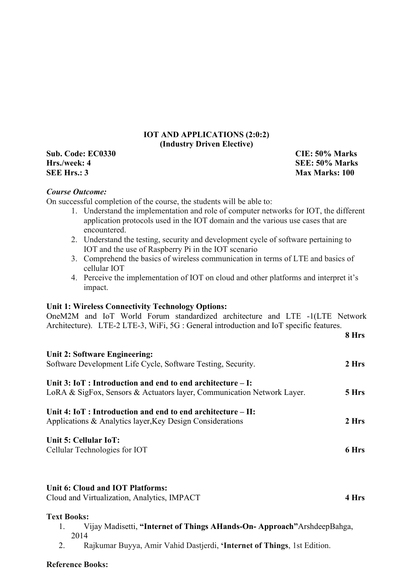# **IOT AND APPLICATIONS (2:0:2) (Industry Driven Elective)**

**Sub. Code: EC0330 CIE: 50% Marks Hrs./week: 4 SEE: 50% Marks SEE Hrs.: 3** Max Marks: 100

**8 Hrs**

### *Course Outcome:*

On successful completion of the course, the students will be able to:

- 1. Understand the implementation and role of computer networks for IOT, the different application protocols used in the IOT domain and the various use cases that are encountered.
- 2. Understand the testing, security and development cycle of software pertaining to IOT and the use of Raspberry Pi in the IOT scenario
- 3. Comprehend the basics of wireless communication in terms of LTE and basics of cellular IOT
- 4. Perceive the implementation of IOT on cloud and other platforms and interpret it's impact.

#### **Unit 1: Wireless Connectivity Technology Options:**

OneM2M and IoT World Forum standardized architecture and LTE -1(LTE Network Architecture). LTE-2 LTE-3, WiFi, 5G : General introduction and IoT specific features.

| Unit 2: Software Engineering:<br>Software Development Life Cycle, Software Testing, Security.                                          | 2 Hrs |
|----------------------------------------------------------------------------------------------------------------------------------------|-------|
| Unit $3: IoT: Introduction$ and end to end architecture – I:<br>LoRA & SigFox, Sensors & Actuators layer, Communication Network Layer. | 5 Hrs |
| Unit 4: $I \circ T$ : Introduction and end to end architecture – II:<br>Applications & Analytics layer, Key Design Considerations      | 2 Hrs |
| Unit 5: Cellular IoT:<br>Cellular Technologies for IOT                                                                                 | 6 Hrs |
|                                                                                                                                        |       |

### **Unit 6: Cloud and IOT Platforms:**

Cloud and Virtualization, Analytics, IMPACT **4 Hrs**

#### **Text Books:**

- 1. Vijay Madisetti, **"Internet of Things AHands-On- Approach"**ArshdeepBahga, 2014
- 2. Rajkumar Buyya, Amir Vahid Dastjerdi, **'Internet of Things**, 1st Edition.

### **Reference Books:**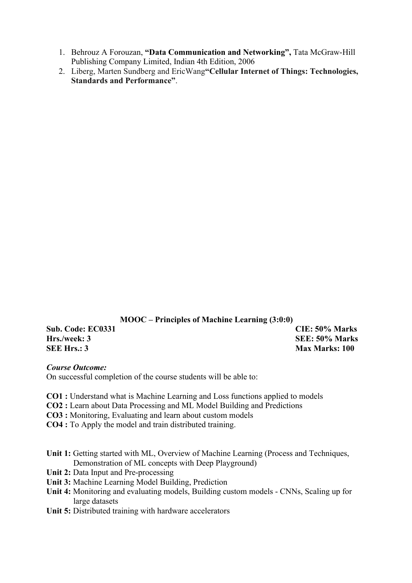- 1. Behrouz A Forouzan, **"Data Communication and Networking",** Tata McGraw-Hill Publishing Company Limited, Indian 4th Edition, 2006
- 2. Liberg, Marten Sundberg and EricWang**"Cellular Internet of Things: Technologies, Standards and Performance"**.

**MOOC – Principles of Machine Learning (3:0:0)**

**Sub. Code: EC0331 CIE: 50% Marks Hrs./week: 3 SEE: 50% Marks SEE Hrs.: 3** Max Marks: 100

### *Course Outcome:*

On successful completion of the course students will be able to:

- **CO1 :** Understand what is Machine Learning and Loss functions applied to models
- **CO2 :** Learn about Data Processing and ML Model Building and Predictions
- **CO3 :** Monitoring, Evaluating and learn about custom models
- **CO4 :** To Apply the model and train distributed training.
- **Unit 1:** Getting started with ML, Overview of Machine Learning (Process and Techniques, Demonstration of ML concepts with Deep Playground)
- **Unit 2:** Data Input and Pre-processing
- **Unit 3:** Machine Learning Model Building, Prediction
- **Unit 4:** Monitoring and evaluating models, Building custom models CNNs, Scaling up for large datasets
- **Unit 5:** Distributed training with hardware accelerators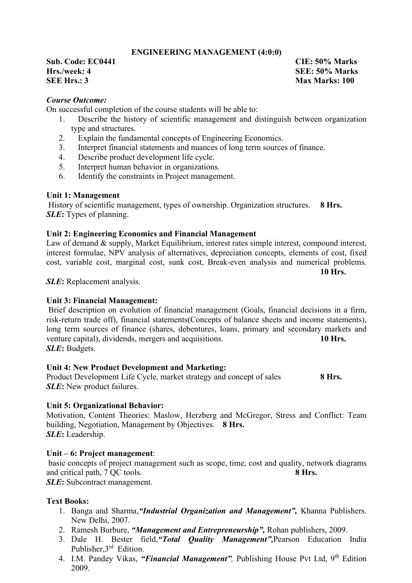# **ENGINEERING MANAGEMENT (4:0:0)**

**Sub. Code: EC0441 CIE: 50% Marks Hrs./week: 4 SEE: 50% Marks SEE Hrs.: 3** Max Marks: 100

### *Course Outcome:*

On successful completion of the course students will be able to:

- 1. Describe the history of scientific management and distinguish between organization type and structures.
- 2. Explain the fundamental concepts of Engineering Economics.
- 3. Interpret financial statements and nuances of long term sources of finance.
- 4. Describe product development life cycle.
- 5. Interpret human behavior in organizations.
- 6. Identify the constraints in Project management.

### **Unit 1: Management**

History of scientific management, types of ownership. Organization structures. **8 Hrs.** *SLE***:** Types of planning.

#### **Unit 2: Engineering Economics and Financial Management**

Law of demand & supply, Market Equilibrium, interest rates simple interest, compound interest, interest formulae, NPV analysis of alternatives, depreciation concepts, elements of cost, fixed cost, variable cost, marginal cost, sunk cost, Break-even analysis and numerical problems.

**10 Hrs.**

*SLE***:** Replacement analysis.

#### **Unit 3: Financial Management:**

Brief description on evolution of financial management (Goals, financial decisions in a firm, risk-return trade off), financial statements(Concepts of balance sheets and income statements), long term sources of finance (shares, debentures, loans, primary and secondary markets and venture capital), dividends, mergers and acquisitions. **10 Hrs.** *SLE***:** Budgets.

### **Unit 4: New Product Development and Marketing:**

Product Development Life Cycle, market strategy and concept of sales **8 Hrs.** *SLE***:** New product failures.

#### **Unit 5: Organizational Behavior:**

Motivation, Content Theories: Maslow, Herzberg and McGregor, Stress and Conflict: Team building, Negotiation, Management by Objectives. **8 Hrs.** *SLE***:** Leadership.

#### **Unit – 6: Project management**:

basic concepts of project management such as scope, time, cost and quality, network diagrams and critical path, 7 QC tools. **8 Hrs.**

*SLE***:** Subcontract management.

### **Text Books:**

- 1. Banga and Sharma,*"Industrial Organization and Management",* Khanna Publishers. New Delhi, 2007.
- 2. Ramesh Burbure, *"Management and Entrepreneurship",* Rohan publishers, 2009.
- 3. Dale H. Bester field,*"Total Quality Management",*Pearson Education India Publisher,3<sup>rd</sup> Edition.
- 4. I.M. Pandey Vikas, *"Financial Management",* Publishing House Pvt Ltd, 9th Edition 2009.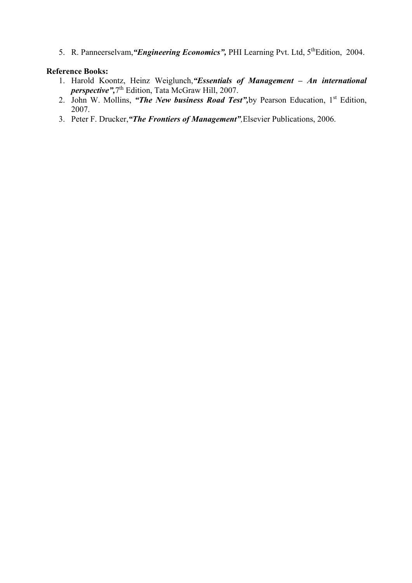5. R. Panneerselvam, "Engineering Economics", PHI Learning Pvt. Ltd, 5<sup>th</sup>Edition, 2004.

### **Reference Books:**

- 1. Harold Koontz, Heinz Weiglunch,*"Essentials of Management – An international perspective",*7th Edition, Tata McGraw Hill, 2007.
- 2. John W. Mollins, *"The New business Road Test"*, by Pearson Education, 1<sup>st</sup> Edition, 2007.
- 3. Peter F. Drucker,*"The Frontiers of Management",*Elsevier Publications, 2006.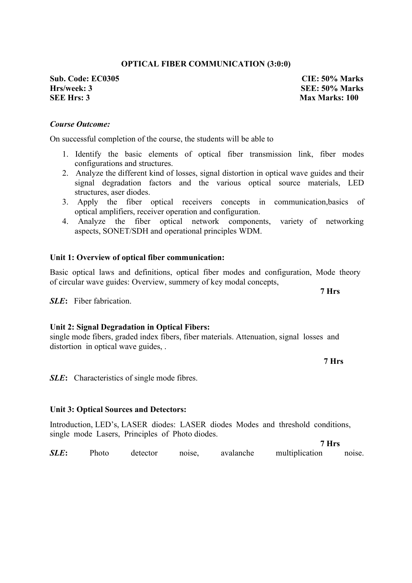### **OPTICAL FIBER COMMUNICATION (3:0:0)**

**Sub. Code: EC0305 CIE: 50% Marks Hrs/week: 3 SEE: 50% Marks SEE Hrs: 3** Max Marks: 100

#### *Course Outcome:*

On successful completion of the course, the students will be able to

- 1. Identify the basic elements of optical fiber transmission link, fiber modes configurations and structures.
- 2. Analyze the different kind of losses, signal distortion in optical wave guides and their signal degradation factors and the various optical source materials, LED structures, aser diodes.
- 3. Apply the fiber optical receivers concepts in communication,basics of optical amplifiers, receiver operation and configuration.
- 4. Analyze the fiber optical network components, variety of networking aspects, SONET/SDH and operational principles WDM.

#### **Unit 1: Overview of optical fiber communication:**

Basic optical laws and definitions, optical fiber modes and configuration, Mode theory of circular wave guides: Overview, summery of key modal concepts,

*SLE***:** Fiber fabrication.

#### **Unit 2: Signal Degradation in Optical Fibers:**

single mode fibers, graded index fibers, fiber materials. Attenuation, signal losses and distortion in optical wave guides, .

**SLE**: Characteristics of single mode fibres.

#### **Unit 3: Optical Sources and Detectors:**

Introduction, LED's, LASER diodes: LASER diodes Modes and threshold conditions, single mode Lasers, Principles of Photo diodes.

**7 Hrs** *SLE***:** Photo detector noise, avalanche multiplication noise.

**7 Hrs** 

**7 Hrs**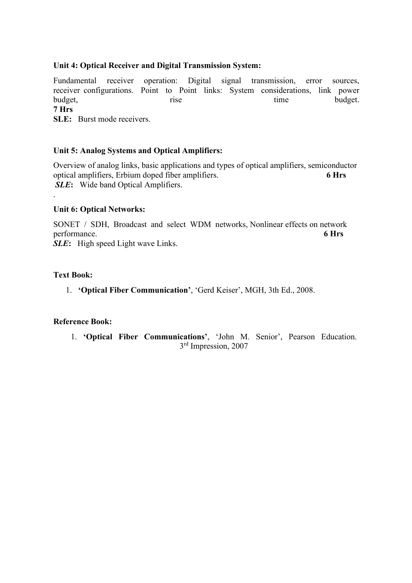## **Unit 4: Optical Receiver and Digital Transmission System:**

Fundamental receiver operation: Digital signal transmission, error sources, receiver configurations. Point to Point links: System considerations, link power budget, the contract of the contract of the budget. **7 Hrs**

**SLE:** Burst mode receivers.

# **Unit 5: Analog Systems and Optical Amplifiers:**

Overview of analog links, basic applications and types of optical amplifiers, semiconductor optical amplifiers, Erbium doped fiber amplifiers. **6 Hrs** *SLE***:** Wide band Optical Amplifiers.

### **Unit 6: Optical Networks:**

SONET / SDH, Broadcast and select WDM networks, Nonlinear effects on network performance. **6 Hrs** *SLE***:** High speed Light wave Links.

# **Text Book:**

.

1. **'Optical Fiber Communication'**, 'Gerd Keiser', MGH, 3th Ed., 2008.

### **Reference Book:**

1. **'Optical Fiber Communications'**, 'John M. Senior', Pearson Education. 3<sup>rd</sup> Impression, 2007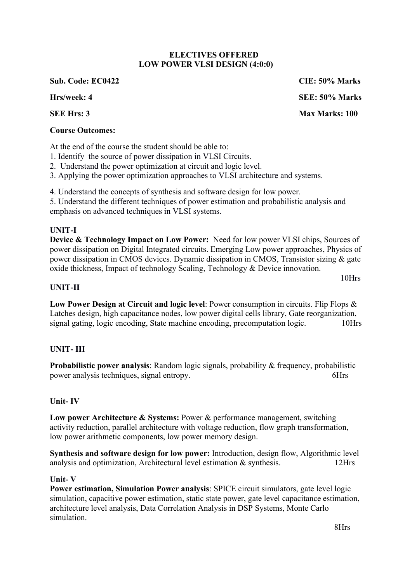### **ELECTIVES OFFERED LOW POWER VLSI DESIGN (4:0:0)**

**Sub. Code: EC0422 CIE: 50% Marks**

# **Course Outcomes:**

At the end of the course the student should be able to:

- 1. Identify the source of power dissipation in VLSI Circuits.
- 2. Understand the power optimization at circuit and logic level.
- 3. Applying the power optimization approaches to VLSI architecture and systems.

4. Understand the concepts of synthesis and software design for low power.

5. Understand the different techniques of power estimation and probabilistic analysis and emphasis on advanced techniques in VLSI systems.

# **UNIT-I**

**Device & Technology Impact on Low Power:** Need for low power VLSI chips, Sources of power dissipation on Digital Integrated circuits. Emerging Low power approaches, Physics of power dissipation in CMOS devices. Dynamic dissipation in CMOS, Transistor sizing & gate oxide thickness, Impact of technology Scaling, Technology & Device innovation.

# **UNIT-II**

**Low Power Design at Circuit and logic level**: Power consumption in circuits. Flip Flops & Latches design, high capacitance nodes, low power digital cells library, Gate reorganization, signal gating, logic encoding, State machine encoding, precomputation logic. 10Hrs

# **UNIT- III**

**Probabilistic power analysis:** Random logic signals, probability & frequency, probabilistic power analysis techniques, signal entropy. 6Hrs

# **Unit- IV**

Low power Architecture & Systems: Power & performance management, switching activity reduction, parallel architecture with voltage reduction, flow graph transformation, low power arithmetic components, low power memory design.

**Synthesis and software design for low power:** Introduction, design flow, Algorithmic level analysis and optimization, Architectural level estimation & synthesis. 12Hrs

# **Unit- V**

**Power estimation, Simulation Power analysis**: SPICE circuit simulators, gate level logic simulation, capacitive power estimation, static state power, gate level capacitance estimation, architecture level analysis, Data Correlation Analysis in DSP Systems, Monte Carlo simulation.

**Hrs/week: 4 SEE: 50% Marks SEE Hrs: 3** Max Marks: 100

10Hrs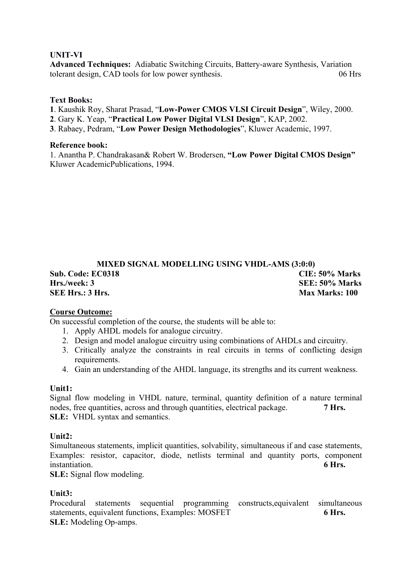# **UNIT-VI**

**Advanced Techniques:** Adiabatic Switching Circuits, Battery-aware Synthesis, Variation tolerant design, CAD tools for low power synthesis. 06 Hrs

### **Text Books:**

**1**. Kaushik Roy, Sharat Prasad, "**Low-Power CMOS VLSI Circuit Design**", Wiley, 2000.

**2**. Gary K. Yeap, "**Practical Low Power Digital VLSI Design**", KAP, 2002.

**3**. Rabaey, Pedram, "**Low Power Design Methodologies**", Kluwer Academic, 1997.

### **Reference book:**

1. Anantha P. Chandrakasan& Robert W. Brodersen, **"Low Power Digital CMOS Design"**  Kluwer AcademicPublications, 1994.

# **MIXED SIGNAL MODELLING USING VHDL-AMS (3:0:0) Sub. Code: EC0318 CIE: 50% Marks Hrs./week: 3 SEE: 50% Marks SEE Hrs.: 3 Hrs. Max Marks: 100**

### **Course Outcome:**

On successful completion of the course, the students will be able to:

- 1. Apply AHDL models for analogue circuitry.
- 2. Design and model analogue circuitry using combinations of AHDLs and circuitry.
- 3. Critically analyze the constraints in real circuits in terms of conflicting design requirements.
- 4. Gain an understanding of the AHDL language, its strengths and its current weakness.

# **Unit1:**

Signal flow modeling in VHDL nature, terminal, quantity definition of a nature terminal nodes, free quantities, across and through quantities, electrical package. **7 Hrs. SLE:** VHDL syntax and semantics.

# **Unit2:**

Simultaneous statements, implicit quantities, solvability, simultaneous if and case statements, Examples: resistor, capacitor, diode, netlists terminal and quantity ports, component instantiation. **6 Hrs.**

**SLE:** Signal flow modeling.

### **Unit3:**

Procedural statements sequential programming constructs,equivalent simultaneous statements, equivalent functions, Examples: MOSFET 6 Hrs. **SLE:** Modeling Op-amps.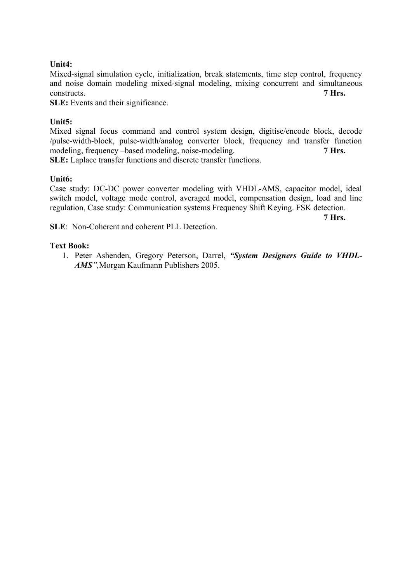## **Unit4:**

Mixed-signal simulation cycle, initialization, break statements, time step control, frequency and noise domain modeling mixed-signal modeling, mixing concurrent and simultaneous constructs. **7 Hrs.**

**SLE:** Events and their significance.

# **Unit5:**

Mixed signal focus command and control system design, digitise/encode block, decode /pulse-width-block, pulse-width/analog converter block, frequency and transfer function modeling, frequency –based modeling, noise-modeling. **7 Hrs. SLE:** Laplace transfer functions and discrete transfer functions.

### **Unit6:**

Case study: DC-DC power converter modeling with VHDL-AMS, capacitor model, ideal switch model, voltage mode control, averaged model, compensation design, load and line regulation, Case study: Communication systems Frequency Shift Keying. FSK detection.

**7 Hrs.**

**SLE**: Non-Coherent and coherent PLL Detection.

## **Text Book:**

1. Peter Ashenden, Gregory Peterson, Darrel, *"System Designers Guide to VHDL-AMS",*Morgan Kaufmann Publishers 2005.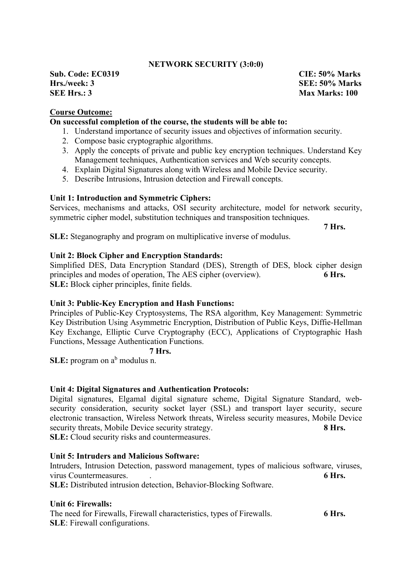### **NETWORK SECURITY (3:0:0)**

**Sub. Code: EC0319 CIE: 50% Marks Hrs./week: 3 SEE: 50% Marks SEE Hrs.: 3** Max Marks: 100

# **Course Outcome:**

# **On successful completion of the course, the students will be able to:**

- 1. Understand importance of security issues and objectives of information security.
- 2. Compose basic cryptographic algorithms.
- 3. Apply the concepts of private and public key encryption techniques. Understand Key Management techniques, Authentication services and Web security concepts.
- 4. Explain Digital Signatures along with Wireless and Mobile Device security.
- 5. Describe Intrusions, Intrusion detection and Firewall concepts.

#### **Unit 1: Introduction and Symmetric Ciphers:**

Services, mechanisms and attacks, OSI security architecture, model for network security, symmetric cipher model, substitution techniques and transposition techniques.

**7 Hrs.** 

**SLE:** Steganography and program on multiplicative inverse of modulus.

### **Unit 2: Block Cipher and Encryption Standards:**

Simplified DES, Data Encryption Standard (DES), Strength of DES, block cipher design principles and modes of operation, The AES cipher (overview). **6 Hrs. SLE:** Block cipher principles, finite fields.

#### **Unit 3: Public-Key Encryption and Hash Functions:**

Principles of Public-Key Cryptosystems, The RSA algorithm, Key Management: Symmetric Key Distribution Using Asymmetric Encryption, Distribution of Public Keys, Diffie-Hellman Key Exchange, Elliptic Curve Cryptography (ECC), Applications of Cryptographic Hash Functions, Message Authentication Functions.

# **7 Hrs.**

**SLE:** program on a<sup>b</sup> modulus n.

#### **Unit 4: Digital Signatures and Authentication Protocols:**

Digital signatures, Elgamal digital signature scheme, Digital Signature Standard, websecurity consideration, security socket layer (SSL) and transport layer security, secure electronic transaction, Wireless Network threats, Wireless security measures, Mobile Device security threats, Mobile Device security strategy. 8 Hrs. **SLE:** Cloud security risks and countermeasures.

#### **Unit 5: Intruders and Malicious Software:**

Intruders, Intrusion Detection, password management, types of malicious software, viruses, virus Countermeasures. . **6 Hrs.**

**SLE:** Distributed intrusion detection, Behavior-Blocking Software.

#### **Unit 6: Firewalls:**

The need for Firewalls, Firewall characteristics, types of Firewalls. **6 Hrs. SLE**: Firewall configurations.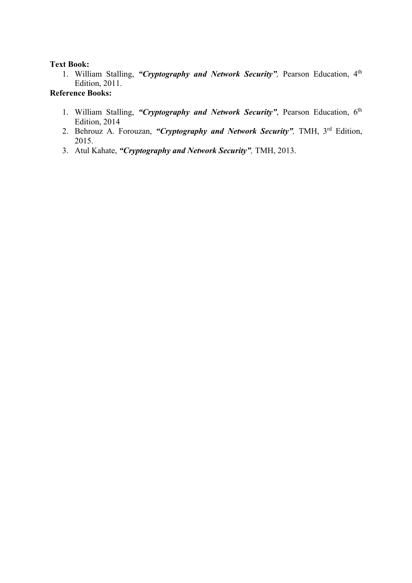### **Text Book:**

1. William Stalling, *"Cryptography and Network Security",* Pearson Education, 4th Edition, 2011.

# **Reference Books:**

- 1. William Stalling, *"Cryptography and Network Security"*, Pearson Education, 6th Edition, 2014
- 2. Behrouz A. Forouzan, *"Cryptography and Network Security",* TMH, 3rd Edition, 2015.
- 3. Atul Kahate, *"Cryptography and Network Security",* TMH, 2013.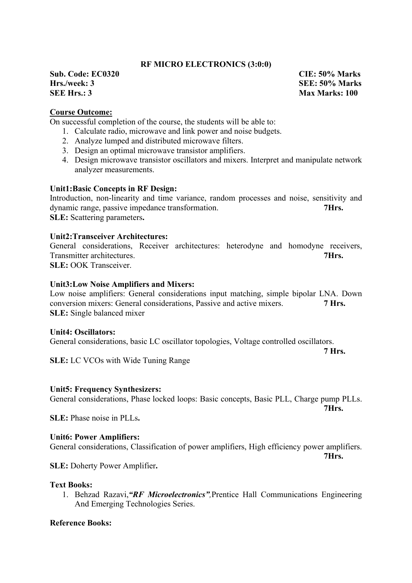### **RF MICRO ELECTRONICS (3:0:0)**

**Sub. Code: EC0320 CIE: 50% Marks Hrs./week: 3 SEE: 50% Marks SEE Hrs.: 3** Max Marks: 100

# **Course Outcome:**

On successful completion of the course, the students will be able to:

- 1. Calculate radio, microwave and link power and noise budgets.
- 2. Analyze lumped and distributed microwave filters.
- 3. Design an optimal microwave transistor amplifiers.
- 4. Design microwave transistor oscillators and mixers. Interpret and manipulate network analyzer measurements.

#### **Unit1:Basic Concepts in RF Design:**

Introduction, non-linearity and time variance, random processes and noise, sensitivity and dynamic range, passive impedance transformation. **7Hrs. SLE:** Scattering parameters**.**

#### **Unit2:Transceiver Architectures:**

General considerations, Receiver architectures: heterodyne and homodyne receivers, Transmitter architectures. **7Hrs. SLE:** OOK Transceiver.

#### **Unit3:Low Noise Amplifiers and Mixers:**

Low noise amplifiers: General considerations input matching, simple bipolar LNA. Down conversion mixers: General considerations, Passive and active mixers. **7 Hrs. SLE:** Single balanced mixer

#### **Unit4: Oscillators:**

General considerations, basic LC oscillator topologies, Voltage controlled oscillators.

**7 Hrs.**

**7Hrs.**

**7Hrs.**

**SLE:** LC VCOs with Wide Tuning Range

#### **Unit5: Frequency Synthesizers:**

General considerations, Phase locked loops: Basic concepts, Basic PLL, Charge pump PLLs.

**SLE:** Phase noise in PLLs**.**

#### **Unit6: Power Amplifiers:**

General considerations, Classification of power amplifiers, High efficiency power amplifiers.

**SLE:** Doherty Power Amplifier**.**

#### **Text Books:**

1. Behzad Razavi,*"RF Microelectronics",*Prentice Hall Communications Engineering And Emerging Technologies Series.

### **Reference Books:**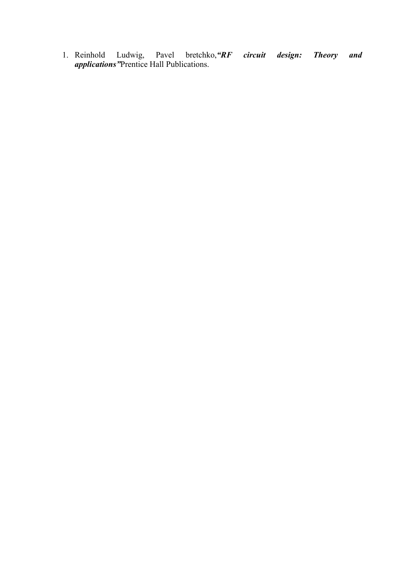1. Reinhold Ludwig, Pavel bretchko,*"RF circuit design: Theory and applications"*Prentice Hall Publications.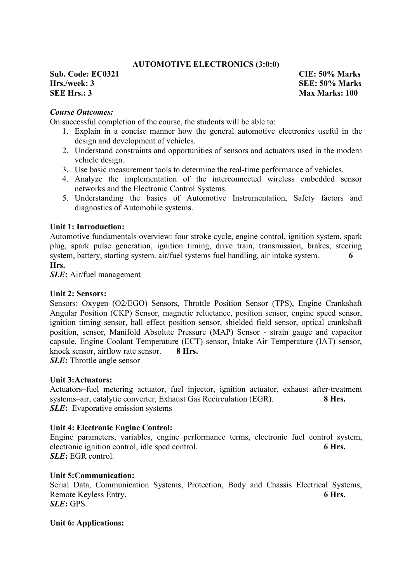# **AUTOMOTIVE ELECTRONICS (3:0:0)**

**Sub. Code: EC0321 CIE: 50% Marks Hrs./week: 3 SEE: 50% Marks SEE Hrs.: 3** Max Marks: 100

# *Course Outcomes:*

On successful completion of the course, the students will be able to:

- 1. Explain in a concise manner how the general automotive electronics useful in the design and development of vehicles.
- 2. Understand constraints and opportunities of sensors and actuators used in the modern vehicle design.
- 3. Use basic measurement tools to determine the real-time performance of vehicles.
- 4. Analyze the implementation of the interconnected wireless embedded sensor networks and the Electronic Control Systems.
- 5. Understanding the basics of Automotive Instrumentation, Safety factors and diagnostics of Automobile systems.

### **Unit 1: Introduction:**

Automotive fundamentals overview: four stroke cycle, engine control, ignition system, spark plug, spark pulse generation, ignition timing, drive train, transmission, brakes, steering system, battery, starting system. air/fuel systems fuel handling, air intake system. **6 Hrs.**

*SLE***:** Air/fuel management

#### **Unit 2: Sensors:**

Sensors: Oxygen (O2/EGO) Sensors, Throttle Position Sensor (TPS), Engine Crankshaft Angular Position (CKP) Sensor, magnetic reluctance, position sensor, engine speed sensor, ignition timing sensor, hall effect position sensor, shielded field sensor, optical crankshaft position, sensor, Manifold Absolute Pressure (MAP) Sensor - strain gauge and capacitor capsule, Engine Coolant Temperature (ECT) sensor, Intake Air Temperature (IAT) sensor, knock sensor, airflow rate sensor. **8 Hrs.**

*SLE***:** Throttle angle sensor

### **Unit 3:Actuators:**

Actuators–fuel metering actuator, fuel injector, ignition actuator, exhaust after-treatment systems–air, catalytic converter, Exhaust Gas Recirculation (EGR). **8 Hrs.** *SLE***:** Evaporative emission systems

### **Unit 4: Electronic Engine Control:**

Engine parameters, variables, engine performance terms, electronic fuel control system, electronic ignition control, idle sped control. **6 Hrs.** *SLE***:** EGR control.

### **Unit 5:Communication:**

Serial Data, Communication Systems, Protection, Body and Chassis Electrical Systems, Remote Keyless Entry. **6 Hrs.** *SLE***:** GPS.

### **Unit 6: Applications:**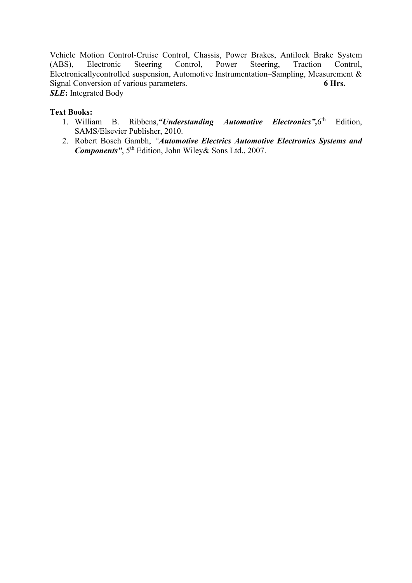Vehicle Motion Control-Cruise Control, Chassis, Power Brakes, Antilock Brake System (ABS), Electronic Steering Control, Power Steering, Traction Control, Electronicallycontrolled suspension, Automotive Instrumentation–Sampling, Measurement & Signal Conversion of various parameters. **6 Hrs.** *SLE***:** Integrated Body

# **Text Books:**

- 1. William B. Ribbens,*"Understanding Automotive Electronics",*6th Edition, SAMS/Elsevier Publisher, 2010.
- 2. Robert Bosch Gambh, *"Automotive Electrics Automotive Electronics Systems and Components"*, 5th Edition, John Wiley& Sons Ltd., 2007.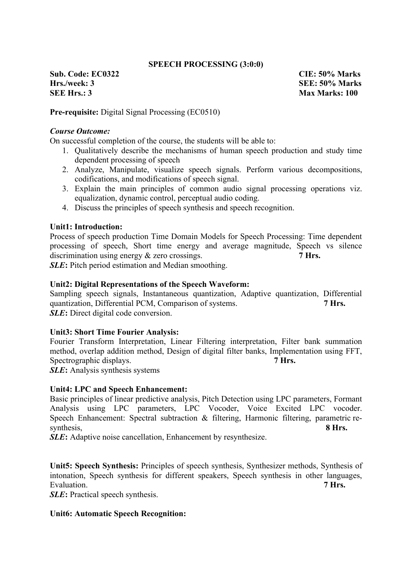### **SPEECH PROCESSING (3:0:0)**

**Sub. Code: EC0322 CIE: 50% Marks Hrs./week: 3 SEE: 50% Marks SEE Hrs.: 3** Max Marks: 100

**Pre-requisite:** Digital Signal Processing (EC0510)

### *Course Outcome:*

On successful completion of the course, the students will be able to:

- 1. Qualitatively describe the mechanisms of human speech production and study time dependent processing of speech
- 2. Analyze, Manipulate, visualize speech signals. Perform various decompositions, codifications, and modifications of speech signal.
- 3. Explain the main principles of common audio signal processing operations viz. equalization, dynamic control, perceptual audio coding.
- 4. Discuss the principles of speech synthesis and speech recognition.

### **Unit1: Introduction:**

Process of speech production Time Domain Models for Speech Processing: Time dependent processing of speech, Short time energy and average magnitude, Speech vs silence discrimination using energy  $&$  zero crossings. **7 Hrs.** 

*SLE***:** Pitch period estimation and Median smoothing.

### **Unit2: Digital Representations of the Speech Waveform:**

Sampling speech signals, Instantaneous quantization, Adaptive quantization, Differential quantization, Differential PCM, Comparison of systems. **7 Hrs.** *SLE***:** Direct digital code conversion.

### **Unit3: Short Time Fourier Analysis:**

Fourier Transform Interpretation, Linear Filtering interpretation, Filter bank summation method, overlap addition method, Design of digital filter banks, Implementation using FFT, Spectrographic displays. **7 Hrs. 7** 

*SLE***:** Analysis synthesis systems

### **Unit4: LPC and Speech Enhancement:**

Basic principles of linear predictive analysis, Pitch Detection using LPC parameters, Formant Analysis using LPC parameters, LPC Vocoder, Voice Excited LPC vocoder. Speech Enhancement: Spectral subtraction & filtering, Harmonic filtering, parametric resynthesis, 8 Hrs.

*SLE*: Adaptive noise cancellation, Enhancement by resynthesize.

**Unit5: Speech Synthesis:** Principles of speech synthesis, Synthesizer methods, Synthesis of intonation, Speech synthesis for different speakers, Speech synthesis in other languages, Evaluation. **7 Hrs.**

*SLE***:** Practical speech synthesis.

### **Unit6: Automatic Speech Recognition:**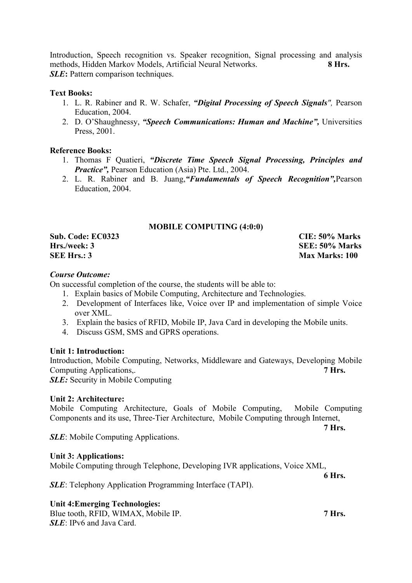Introduction, Speech recognition vs. Speaker recognition, Signal processing and analysis methods, Hidden Markov Models, Artificial Neural Networks. **8 Hrs.** *SLE***:** Pattern comparison techniques.

# **Text Books:**

- 1. L. R. Rabiner and R. W. Schafer, *"Digital Processing of Speech Signals",* Pearson Education, 2004.
- 2. D. O'Shaughnessy, *"Speech Communications: Human and Machine",* Universities Press, 2001.

# **Reference Books:**

- 1. Thomas F Quatieri, *"Discrete Time Speech Signal Processing, Principles and Practice",* Pearson Education (Asia) Pte. Ltd., 2004.
- 2. L. R. Rabiner and B. Juang,*"Fundamentals of Speech Recognition",*Pearson Education, 2004.

### **MOBILE COMPUTING (4:0:0)**

**SEE Hrs.: 3** Max Marks: 100

**Sub. Code: EC0323 CIE: 50% Marks Hrs./week: 3 SEE: 50% Marks**

# *Course Outcome:*

On successful completion of the course, the students will be able to:

- 1. Explain basics of Mobile Computing, Architecture and Technologies.
- 2. Development of Interfaces like, Voice over IP and implementation of simple Voice over XML.
- 3. Explain the basics of RFID, Mobile IP, Java Card in developing the Mobile units.
- 4. Discuss GSM, SMS and GPRS operations.

### **Unit 1: Introduction:**

Introduction, Mobile Computing, Networks, Middleware and Gateways, Developing Mobile Computing Applications,. **7 Hrs.**

**SLE:** Security in Mobile Computing

# **Unit 2: Architecture:**

Mobile Computing Architecture, Goals of Mobile Computing, Mobile Computing Components and its use, Three-Tier Architecture, Mobile Computing through Internet,

*SLE*: Mobile Computing Applications.

# **Unit 3: Applications:**

Mobile Computing through Telephone, Developing IVR applications, Voice XML,

*SLE*: Telephony Application Programming Interface (TAPI).

# **Unit 4:Emerging Technologies:**

Blue tooth, RFID, WIMAX, Mobile IP. **7 Hrs.** 7 *SLE*: IPv6 and Java Card.

**6 Hrs.**

**7 Hrs.**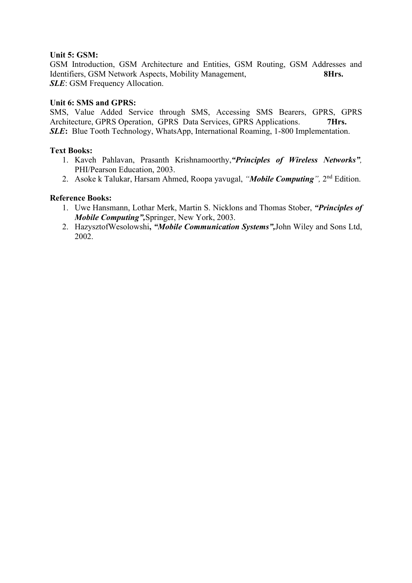# **Unit 5: GSM:**

GSM Introduction, GSM Architecture and Entities, GSM Routing, GSM Addresses and Identifiers, GSM Network Aspects, Mobility Management, **8Hrs. SLE**: GSM Frequency Allocation.

# **Unit 6: SMS and GPRS:**

SMS, Value Added Service through SMS, Accessing SMS Bearers, GPRS, GPRS Architecture, GPRS Operation, GPRS Data Services, GPRS Applications. **7Hrs. SLE**: Blue Tooth Technology, WhatsApp, International Roaming, 1-800 Implementation.

# **Text Books:**

- 1. Kaveh Pahlavan, Prasanth Krishnamoorthy,*"Principles of Wireless Networks",* PHI/Pearson Education, 2003.
- 2. Asoke k Talukar, Harsam Ahmed, Roopa yavugal, *"Mobile Computing",* 2nd Edition.

# **Reference Books:**

- 1. Uwe Hansmann, Lothar Merk, Martin S. Nicklons and Thomas Stober, *"Principles of Mobile Computing",*Springer, New York, 2003.
- 2. HazysztofWesolowshi**,** *"Mobile Communication Systems",*John Wiley and Sons Ltd, 2002.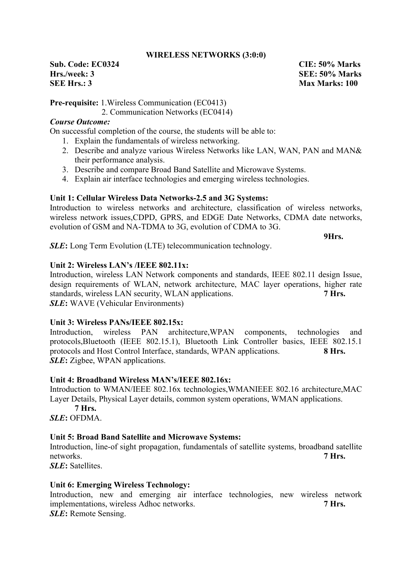### **WIRELESS NETWORKS (3:0:0)**

**Sub. Code: EC0324 CIE: 50% Marks Hrs./week: 3 SEE: 50% Marks SEE Hrs.: 3** Max Marks: 100

**Pre-requisite:** 1.Wireless Communication (EC0413)

2. Communication Networks (EC0414)

# *Course Outcome:*

On successful completion of the course, the students will be able to:

- 1. Explain the fundamentals of wireless networking.
- 2. Describe and analyze various Wireless Networks like LAN, WAN, PAN and MAN& their performance analysis.
- 3. Describe and compare Broad Band Satellite and Microwave Systems.
- 4. Explain air interface technologies and emerging wireless technologies.

# **Unit 1: Cellular Wireless Data Networks-2.5 and 3G Systems:**

Introduction to wireless networks and architecture, classification of wireless networks, wireless network issues,CDPD, GPRS, and EDGE Date Networks, CDMA date networks, evolution of GSM and NA-TDMA to 3G, evolution of CDMA to 3G.

**9Hrs.**

**SLE**: Long Term Evolution (LTE) telecommunication technology.

# **Unit 2: Wireless LAN's /IEEE 802.11x:**

Introduction, wireless LAN Network components and standards, IEEE 802.11 design Issue, design requirements of WLAN, network architecture, MAC layer operations, higher rate standards, wireless LAN security, WLAN applications. **7 Hrs.** *SLE***:** WAVE (Vehicular Environments)

# **Unit 3: Wireless PANs/IEEE 802.15x:**

Introduction, wireless PAN architecture,WPAN components, technologies and protocols,Bluetooth (IEEE 802.15.1), Bluetooth Link Controller basics, IEEE 802.15.1 protocols and Host Control Interface, standards, WPAN applications. **8 Hrs.** *SLE***:** Zigbee, WPAN applications.

# **Unit 4: Broadband Wireless MAN's/IEEE 802.16x:**

Introduction to WMAN/IEEE 802.16x technologies,WMANIEEE 802.16 architecture,MAC Layer Details, Physical Layer details, common system operations, WMAN applications.

**7 Hrs.** *SLE***:** OFDMA.

# **Unit 5: Broad Band Satellite and Microwave Systems:**

Introduction, line-of sight propagation, fundamentals of satellite systems, broadband satellite networks. **7 Hrs.**

*SLE***:** Satellites.

# **Unit 6: Emerging Wireless Technology:**

Introduction, new and emerging air interface technologies, new wireless network implementations, wireless Adhoc networks. **7 Hrs.** *SLE***:** Remote Sensing.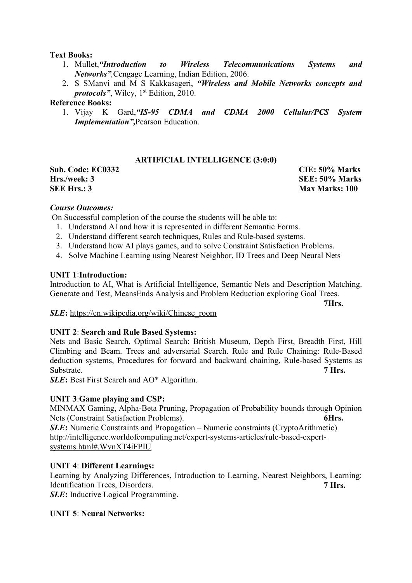# **Text Books:**

- 1. Mullet,*"Introduction to Wireless Telecommunications Systems and Networks",*Cengage Learning, Indian Edition, 2006.
- 2. S SManvi and M S Kakkasageri, *"Wireless and Mobile Networks concepts and protocols"*, Wiley, 1<sup>st</sup> Edition, 2010.

# **Reference Books:**

1. Vijay K Gard,*"IS-95 CDMA and CDMA 2000 Cellular/PCS System Implementation",*Pearson Education.

# **ARTIFICIAL INTELLIGENCE (3:0:0)**

**Sub. Code: EC0332 CIE: 50% Marks Hrs./week: 3 SEE: 50% Marks SEE Hrs.: 3** Max Marks: 100

# *Course Outcomes:*

On Successful completion of the course the students will be able to:

- 1. Understand AI and how it is represented in different Semantic Forms.
- 2. Understand different search techniques, Rules and Rule-based systems.
- 3. Understand how AI plays games, and to solve Constraint Satisfaction Problems.
- 4. Solve Machine Learning using Nearest Neighbor, ID Trees and Deep Neural Nets

# **UNIT 1**:**Introduction:**

Introduction to AI, What is Artificial Intelligence, Semantic Nets and Description Matching. Generate and Test, MeansEnds Analysis and Problem Reduction exploring Goal Trees.

**7Hrs.**

### *SLE***:** https://en.wikipedia.org/wiki/Chinese\_room

### **UNIT 2**: **Search and Rule Based Systems:**

Nets and Basic Search, Optimal Search: British Museum, Depth First, Breadth First, Hill Climbing and Beam. Trees and adversarial Search. Rule and Rule Chaining: Rule-Based deduction systems, Procedures for forward and backward chaining, Rule-based Systems as Substrate. **7 Hrs.** 

*SLE***:** Best First Search and AO\* Algorithm.

# **UNIT 3**:**Game playing and CSP:**

MINMAX Gaming, Alpha-Beta Pruning, Propagation of Probability bounds through Opinion Nets (Constraint Satisfaction Problems). **6Hrs.**

**SLE**: Numeric Constraints and Propagation – Numeric constraints (CryptoArithmetic) http://intelligence.worldofcomputing.net/expert-systems-articles/rule-based-expertsystems.html#.WvnXT4iFPIU

### **UNIT 4**: **Different Learnings:**

Learning by Analyzing Differences, Introduction to Learning, Nearest Neighbors, Learning: Identification Trees, Disorders. **7 Hrs. 7 Hrs.** *SLE***:** Inductive Logical Programming.

### **UNIT 5**: **Neural Networks:**